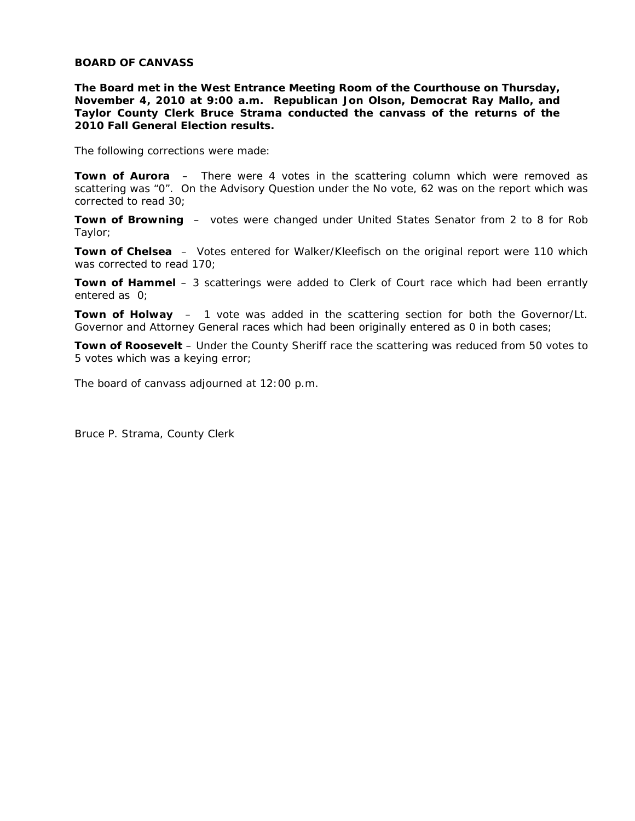## **BOARD OF CANVASS**

**The Board met in the West Entrance Meeting Room of the Courthouse on Thursday, November 4, 2010 at 9:00 a.m. Republican Jon Olson, Democrat Ray Mallo, and Taylor County Clerk Bruce Strama conducted the canvass of the returns of the 2010 Fall General Election results.** 

The following corrections were made:

**Town of Aurora** – There were 4 votes in the scattering column which were removed as scattering was "0". On the Advisory Question under the No vote, 62 was on the report which was corrected to read 30;

**Town of Browning** – votes were changed under United States Senator from 2 to 8 for Rob Taylor;

**Town of Chelsea** – Votes entered for Walker/Kleefisch on the original report were 110 which was corrected to read 170;

**Town of Hammel** – 3 scatterings were added to Clerk of Court race which had been errantly entered as 0;

**Town of Holway** – 1 vote was added in the scattering section for both the Governor/Lt. Governor and Attorney General races which had been originally entered as 0 in both cases;

**Town of Roosevelt** – Under the County Sheriff race the scattering was reduced from 50 votes to 5 votes which was a keying error;

The board of canvass adjourned at 12:00 p.m.

Bruce P. Strama, County Clerk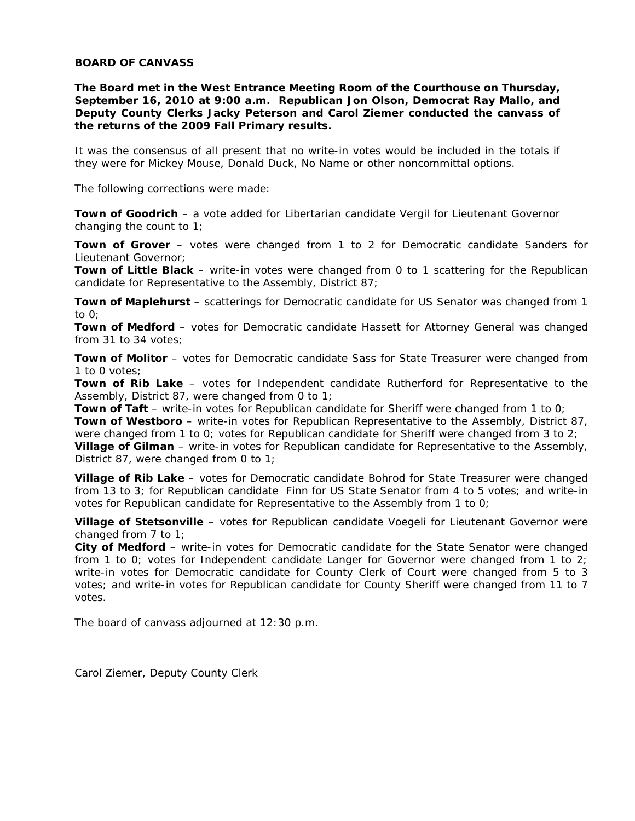## **BOARD OF CANVASS**

**The Board met in the West Entrance Meeting Room of the Courthouse on Thursday, September 16, 2010 at 9:00 a.m. Republican Jon Olson, Democrat Ray Mallo, and Deputy County Clerks Jacky Peterson and Carol Ziemer conducted the canvass of the returns of the 2009 Fall Primary results.** 

It was the consensus of all present that no write-in votes would be included in the totals if they were for Mickey Mouse, Donald Duck, No Name or other noncommittal options.

The following corrections were made:

**Town of Goodrich** – a vote added for Libertarian candidate Vergil for Lieutenant Governor changing the count to 1;

**Town of Grover** – votes were changed from 1 to 2 for Democratic candidate Sanders for Lieutenant Governor;

**Town of Little Black** – write-in votes were changed from 0 to 1 scattering for the Republican candidate for Representative to the Assembly, District 87;

**Town of Maplehurst** – scatterings for Democratic candidate for US Senator was changed from 1 to 0;

**Town of Medford** – votes for Democratic candidate Hassett for Attorney General was changed from 31 to 34 votes;

**Town of Molitor** – votes for Democratic candidate Sass for State Treasurer were changed from 1 to 0 votes;

**Town of Rib Lake** – votes for Independent candidate Rutherford for Representative to the Assembly, District 87, were changed from 0 to 1;

**Town of Taft** – write-in votes for Republican candidate for Sheriff were changed from 1 to 0;

**Town of Westboro** – write-in votes for Republican Representative to the Assembly, District 87, were changed from 1 to 0; votes for Republican candidate for Sheriff were changed from 3 to 2; **Village of Gilman** – write-in votes for Republican candidate for Representative to the Assembly,

District 87, were changed from 0 to 1;

**Village of Rib Lake** – votes for Democratic candidate Bohrod for State Treasurer were changed from 13 to 3; for Republican candidate Finn for US State Senator from 4 to 5 votes; and write-in votes for Republican candidate for Representative to the Assembly from 1 to 0;

**Village of Stetsonville** – votes for Republican candidate Voegeli for Lieutenant Governor were changed from 7 to 1;

**City of Medford** – write-in votes for Democratic candidate for the State Senator were changed from 1 to 0; votes for Independent candidate Langer for Governor were changed from 1 to 2; write-in votes for Democratic candidate for County Clerk of Court were changed from 5 to 3 votes; and write-in votes for Republican candidate for County Sheriff were changed from 11 to 7 votes.

The board of canvass adjourned at 12:30 p.m.

Carol Ziemer, Deputy County Clerk